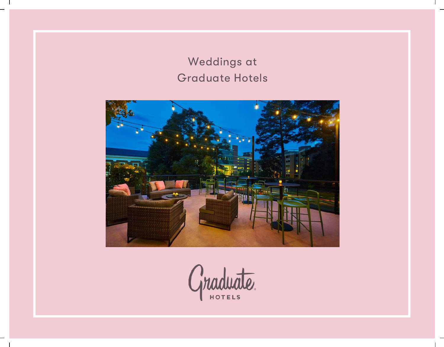# Weddings at Graduate Hotels



Graduate.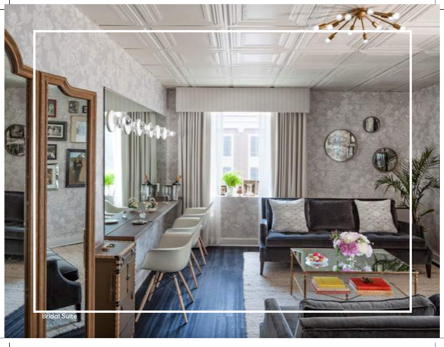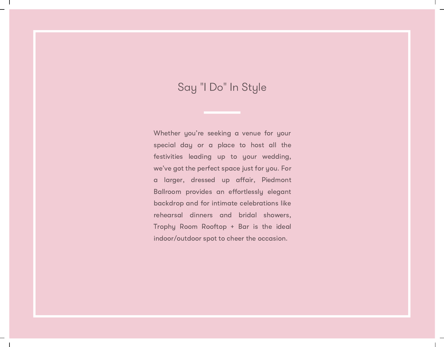## Say "I Do " In Style

Whether you're seeking a venue for your special day or a place to host all the festivities leading up to your wedding, we ' ve got the perfect space just for you. For a larger, dressed up affair, Piedmont Ballroom provides an effortlessly elegant backdrop and for intimate celebrations like rehearsal dinners and bridal showers, Trophy Room Rooftop + Bar is the ideal indoor/outdoor spot to cheer the occasion.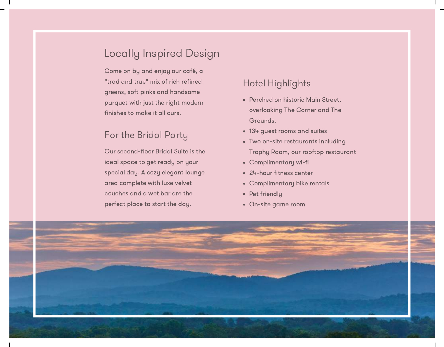# Locally Inspired Design

Come on by and enjoy our café, a "trad and true" mix of rich refined greens, soft pinks and handsome parquet with just the right modern finishes to make it all ours.

#### For the Bridal Party

Our second-floor Bridal Suite is the ideal space to get ready on your special day. A cozy elegant lounge area complete with luxe velvet couches and a wet bar are the perfect place to start the day.

#### Hotel Highlights

- Perched on historic Main Street, overlooking The Corner and The Grounds.
- 134 guest rooms and suites
- Two on-site restaurants including Trophy Room, our rooftop restaurant
- Complimentary wi-fi
- 24-hour fitness center
- Complimentary bike rentals
- Pet friendly
- On-site game room

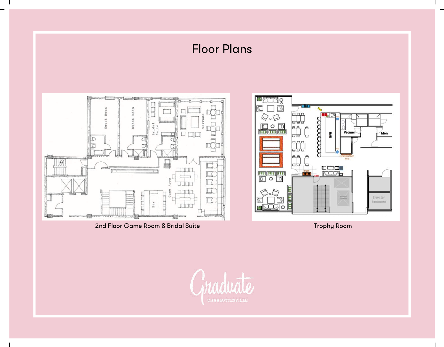# Floor Plans



2nd Floor Game Room & Bridal Suite Transaction of Trophy Room



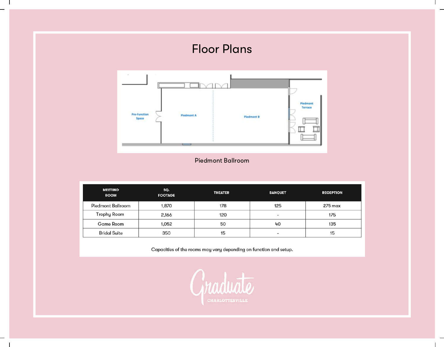# Floor Plans



#### Piedmont Ballroom

| <b>MEETING</b><br><b>ROOM</b> | SQ.<br><b>FOOTAGE</b> | <b>THEATER</b> | <b>BANQUET</b> | <b>RECEPTION</b>  |
|-------------------------------|-----------------------|----------------|----------------|-------------------|
| <b>Piedmont Ballroom</b>      | 1,870                 | 178            | 125            | $275 \text{ max}$ |
| Trophy Room                   | 2,166                 | 120            | ٠              | 175               |
| Game Room                     | 1,052                 | 50             | 40             | 135               |
| <b>Bridal Suite</b>           | 350                   | 15             | $\,$           | 15                |

Capacities of the rooms may vary depending on function and setup.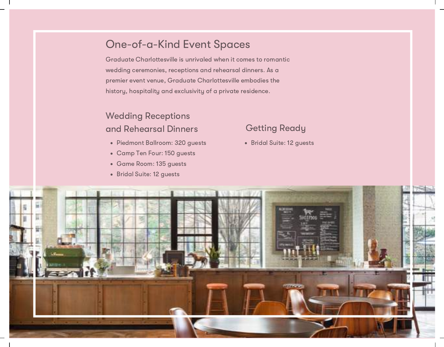## One-of-a-Kind Event Spaces

Graduate Charlottesville is unrivaled when it comes to romantic wedding ceremonies, receptions and rehearsal dinners. As a premier event venue, Graduate Charlottesville embodies the history, hospitality and exclusivity of a private residence.

### Wedding Receptions and Rehearsal Dinners

- Piedmont Ballroom: 320 guests
- Camp Ten Four: 150 guests
- Game Room: 135 guests
- Bridal Suite: 12 guests

#### Getting Ready

Bridal Suite: 12 guests

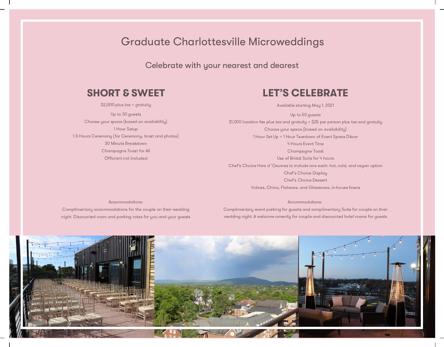## Graduate Charlottesville Microweddings

Celebrate with your nearest and dearest

#### SHORT & SWEET

\$2,000 plus tax + gratuity

Up to 30 guests Choose your space (based on availability) 1 Hour Setup 1.5 Hours Ceremony (for Ceremony, toast and photos) 30 Minute Breakdown Champagne Toast for All Officiant not included

#### LET'S CELEBRATE

Available starting May 1, 2021

Up to 50 guests \$1,000 location fee plus tax and gratuity + \$25 per person plus tax and gratuity Choose your space (based on availability) 1 Hour Set Up + 1 Hour Teardown of Event Space Décor 4 Hours Event Time Champagne Toast Use of Bridal Suite for 4 hours Chef' s Choice Hors d 'Oeuvres to include one each: hot, cold, and vegan option Chef' s Choice Display Chef' s Choice Dessert Votives, China, Flatware, and Glassware, in-house linens

#### Accommodations:

Accommodations: Complimentary accommodations for the couple on their wedding night. Discounted room and parking rates for you and your guests

Complimentary event parking for guests and complimentary Suite for couple on their wedding night. A welcome amenity for couple and discounted hotel rooms for guests

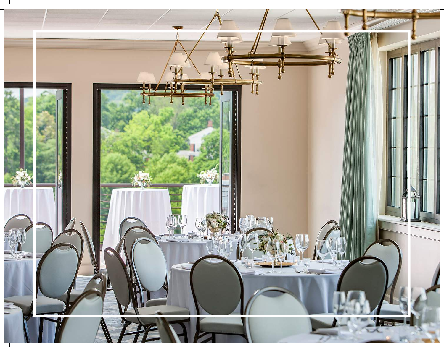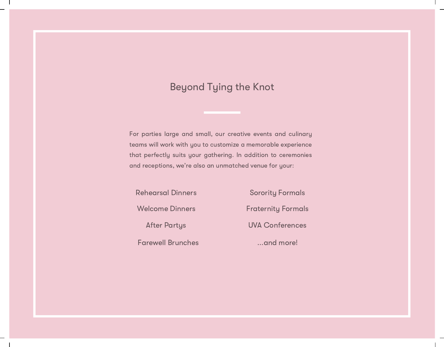## Beyond Tying the Knot

For parties large and small, our creative events and culinary teams will work with you to customize a memorable experience that perfectly suits your gathering. In addition to ceremonies and receptions, we ' re also an unmatched venue for your:

Welcome Dinners After Partys **UVA Conferences** Farewell Brunches Rehearsal Dinners

Fraternity Formals

Sorority Formals

...and more!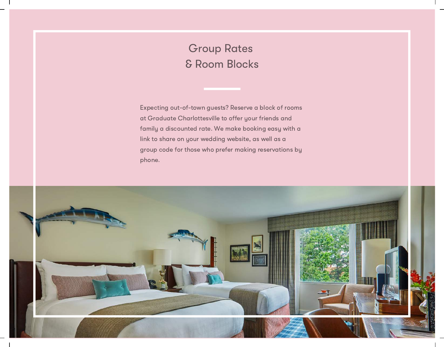# Group Rates & Room Blocks

Expecting out-of-town guests? Reserve a block of rooms at Graduate Charlottesville to offer your friends and family a discounted rate. We make booking easy with a link to share on your wedding website, as well as a group code for those who prefer making reservations by phone.

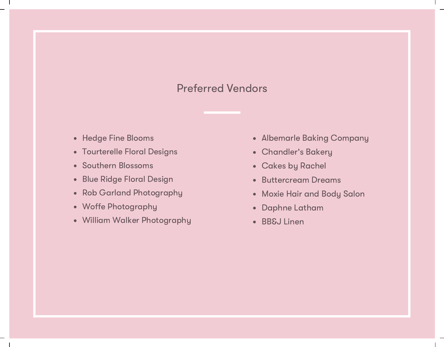# Preferred Vendors

- Hedge Fine Blooms
- Tourterelle Floral Designs
- Southern Blossoms
- Blue Ridge Floral Design
- Rob Garland Photography
- Woffe Photography
- William Walker Photography
- Albemarle Baking Company
- Chandler's Bakery
- Cakes by Rachel
- Buttercream Dreams
- Moxie Hair and Body Salon
- Daphne Latham
- BB&J Linen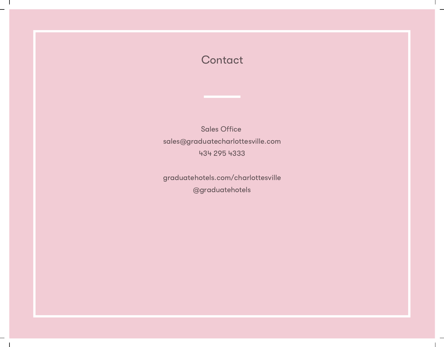# **Contact**

Sales Office sales@graduatecharlottesville.com 434 295 4333

graduatehotels.com/charlottesville @graduatehotels